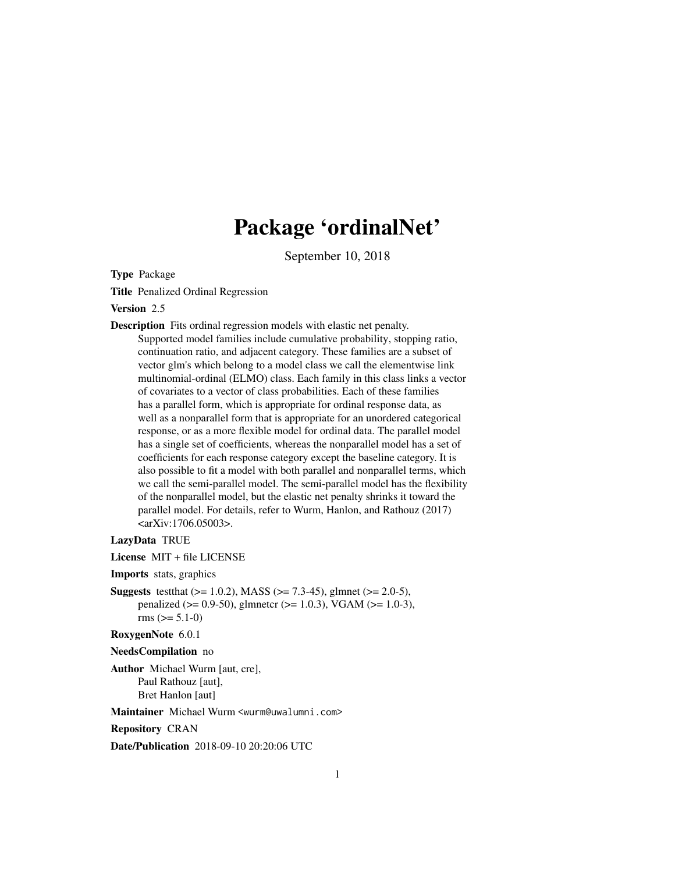# Package 'ordinalNet'

September 10, 2018

Type Package

Title Penalized Ordinal Regression

#### Version 2.5

Description Fits ordinal regression models with elastic net penalty.

Supported model families include cumulative probability, stopping ratio, continuation ratio, and adjacent category. These families are a subset of vector glm's which belong to a model class we call the elementwise link multinomial-ordinal (ELMO) class. Each family in this class links a vector of covariates to a vector of class probabilities. Each of these families has a parallel form, which is appropriate for ordinal response data, as well as a nonparallel form that is appropriate for an unordered categorical response, or as a more flexible model for ordinal data. The parallel model has a single set of coefficients, whereas the nonparallel model has a set of coefficients for each response category except the baseline category. It is also possible to fit a model with both parallel and nonparallel terms, which we call the semi-parallel model. The semi-parallel model has the flexibility of the nonparallel model, but the elastic net penalty shrinks it toward the parallel model. For details, refer to Wurm, Hanlon, and Rathouz (2017) <arXiv:1706.05003>.

#### LazyData TRUE

License MIT + file LICENSE

Imports stats, graphics

**Suggests** test that  $(>= 1.0.2)$ , MASS  $(>= 7.3-45)$ , glmnet  $(>= 2.0-5)$ , penalized (>= 0.9-50), glmnetcr (>= 1.0.3), VGAM (>= 1.0-3),  $rms (= 5.1-0)$ 

RoxygenNote 6.0.1

NeedsCompilation no

Author Michael Wurm [aut, cre], Paul Rathouz [aut], Bret Hanlon [aut]

Maintainer Michael Wurm <wurm@uwalumni.com>

Repository CRAN

Date/Publication 2018-09-10 20:20:06 UTC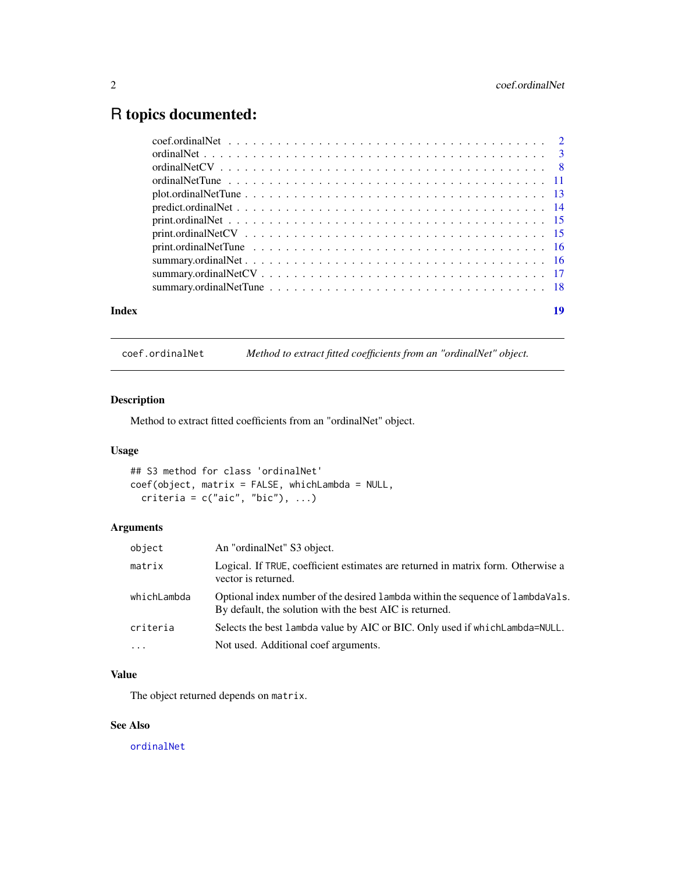## <span id="page-1-0"></span>R topics documented:

| Index | 19 |
|-------|----|
|       |    |
|       |    |
|       |    |
|       |    |
|       |    |
|       |    |
|       |    |
|       |    |
|       |    |
|       |    |
|       |    |
|       |    |

coef.ordinalNet *Method to extract fitted coefficients from an "ordinalNet" object.*

### Description

Method to extract fitted coefficients from an "ordinalNet" object.

#### Usage

```
## S3 method for class 'ordinalNet'
coef(object, matrix = FALSE, whichLambda = NULL,
 criteria = c("aic", "bic"), ...)
```
#### Arguments

| object      | An "ordinalNet" S3 object.                                                                                                                 |
|-------------|--------------------------------------------------------------------------------------------------------------------------------------------|
| matrix      | Logical. If TRUE, coefficient estimates are returned in matrix form. Otherwise a<br>vector is returned.                                    |
| whichLambda | Optional index number of the desired lambda within the sequence of lambda Vals.<br>By default, the solution with the best AIC is returned. |
| criteria    | Selects the best lambda value by AIC or BIC. Only used if which Lambda=NULL.                                                               |
| $\cdots$    | Not used. Additional coef arguments.                                                                                                       |

#### Value

The object returned depends on matrix.

#### See Also

[ordinalNet](#page-2-1)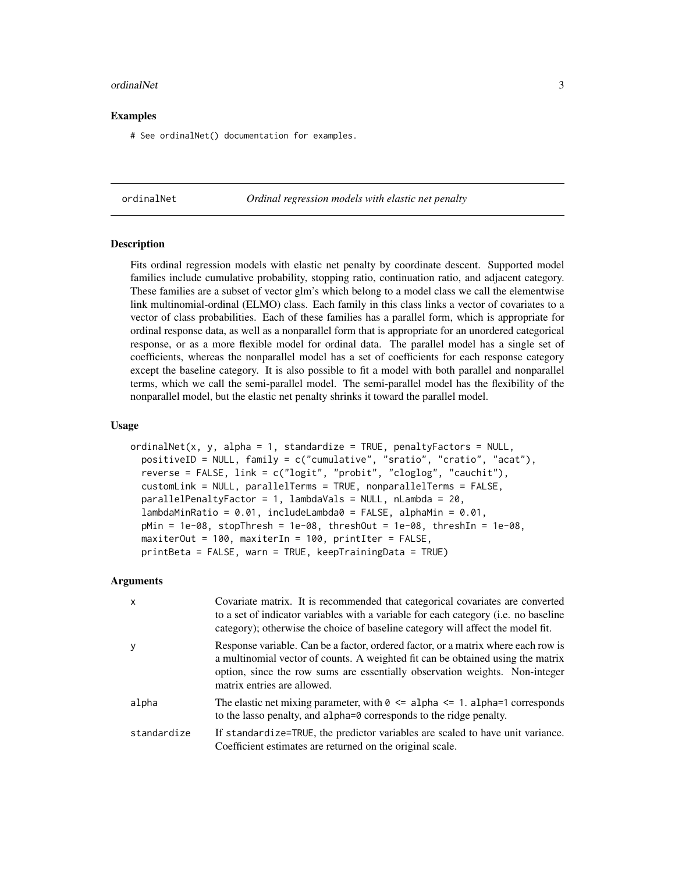#### <span id="page-2-0"></span>ordinalNet 3

#### Examples

# See ordinalNet() documentation for examples.

<span id="page-2-1"></span>ordinalNet *Ordinal regression models with elastic net penalty*

#### **Description**

Fits ordinal regression models with elastic net penalty by coordinate descent. Supported model families include cumulative probability, stopping ratio, continuation ratio, and adjacent category. These families are a subset of vector glm's which belong to a model class we call the elementwise link multinomial-ordinal (ELMO) class. Each family in this class links a vector of covariates to a vector of class probabilities. Each of these families has a parallel form, which is appropriate for ordinal response data, as well as a nonparallel form that is appropriate for an unordered categorical response, or as a more flexible model for ordinal data. The parallel model has a single set of coefficients, whereas the nonparallel model has a set of coefficients for each response category except the baseline category. It is also possible to fit a model with both parallel and nonparallel terms, which we call the semi-parallel model. The semi-parallel model has the flexibility of the nonparallel model, but the elastic net penalty shrinks it toward the parallel model.

#### Usage

```
ordinalNet(x, y, alpha = 1, standardize = TRUE, penaltyFactors = NULL,
  positiveID = NULL, family = c("cumulative", "sratio", "cratio", "acat"),
  reverse = FALSE, link = c("logit", "probit", "cloglog", "cauchit"),
  customLink = NULL, parallelTerms = TRUE, nonparallelTerms = FALSE,
  parallelPenaltyFactor = 1, lambdaVals = NULL, nLambda = 20,
  lambdaMinRatio = 0.01, includeLambda0 = FALSE, alphaMin = 0.01,
  pMin = 1e-08, stopThresh = 1e-08, threshOut = 1e-08, threshIn = 1e-08,
 maxiterOut = 100, maxiterIn = 100, printIter = FALSE,
  printBeta = FALSE, warn = TRUE, keepTrainingData = TRUE)
```
#### Arguments

| X           | Covariate matrix. It is recommended that categorical covariates are converted<br>to a set of indicator variables with a variable for each category (i.e. no baseline<br>category); otherwise the choice of baseline category will affect the model fit.                            |
|-------------|------------------------------------------------------------------------------------------------------------------------------------------------------------------------------------------------------------------------------------------------------------------------------------|
|             | Response variable. Can be a factor, ordered factor, or a matrix where each row is<br>a multinomial vector of counts. A weighted fit can be obtained using the matrix<br>option, since the row sums are essentially observation weights. Non-integer<br>matrix entries are allowed. |
| alpha       | The elastic net mixing parameter, with $\theta \leq$ alpha $\leq$ 1. alpha=1 corresponds<br>to the lasso penalty, and alpha=0 corresponds to the ridge penalty.                                                                                                                    |
| standardize | If standardize=TRUE, the predictor variables are scaled to have unit variance.<br>Coefficient estimates are returned on the original scale.                                                                                                                                        |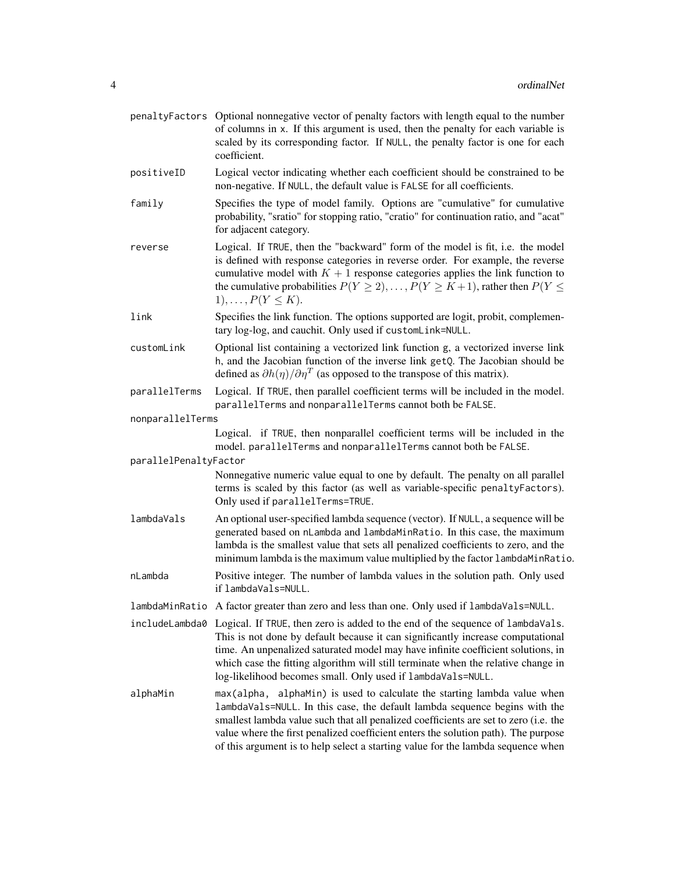|                       | penaltyFactors Optional nonnegative vector of penalty factors with length equal to the number<br>of columns in x. If this argument is used, then the penalty for each variable is<br>scaled by its corresponding factor. If NULL, the penalty factor is one for each<br>coefficient.                                                                                                                                     |
|-----------------------|--------------------------------------------------------------------------------------------------------------------------------------------------------------------------------------------------------------------------------------------------------------------------------------------------------------------------------------------------------------------------------------------------------------------------|
| positiveID            | Logical vector indicating whether each coefficient should be constrained to be<br>non-negative. If NULL, the default value is FALSE for all coefficients.                                                                                                                                                                                                                                                                |
| family                | Specifies the type of model family. Options are "cumulative" for cumulative<br>probability, "sratio" for stopping ratio, "cratio" for continuation ratio, and "acat"<br>for adjacent category.                                                                                                                                                                                                                           |
| reverse               | Logical. If TRUE, then the "backward" form of the model is fit, i.e. the model<br>is defined with response categories in reverse order. For example, the reverse<br>cumulative model with $K + 1$ response categories applies the link function to<br>the cumulative probabilities $P(Y \ge 2), \ldots, P(Y \ge K+1)$ , rather then $P(Y \le$<br>$1), \ldots, P(Y \leq K).$                                              |
| link                  | Specifies the link function. The options supported are logit, probit, complemen-<br>tary log-log, and cauchit. Only used if customLink=NULL.                                                                                                                                                                                                                                                                             |
| customLink            | Optional list containing a vectorized link function g, a vectorized inverse link<br>h, and the Jacobian function of the inverse link getQ. The Jacobian should be<br>defined as $\partial h(\eta)/\partial \eta^T$ (as opposed to the transpose of this matrix).                                                                                                                                                         |
| parallelTerms         | Logical. If TRUE, then parallel coefficient terms will be included in the model.<br>parallelTerms and nonparallelTerms cannot both be FALSE.                                                                                                                                                                                                                                                                             |
| nonparallelTerms      |                                                                                                                                                                                                                                                                                                                                                                                                                          |
|                       | Logical. if TRUE, then nonparallel coefficient terms will be included in the<br>model. parallelTerms and nonparallelTerms cannot both be FALSE.                                                                                                                                                                                                                                                                          |
| parallelPenaltyFactor |                                                                                                                                                                                                                                                                                                                                                                                                                          |
|                       | Nonnegative numeric value equal to one by default. The penalty on all parallel<br>terms is scaled by this factor (as well as variable-specific penaltyFactors).<br>Only used if parallelTerms=TRUE.                                                                                                                                                                                                                      |
| lambdaVals            | An optional user-specified lambda sequence (vector). If NULL, a sequence will be<br>generated based on nLambda and lambdaMinRatio. In this case, the maximum<br>lambda is the smallest value that sets all penalized coefficients to zero, and the<br>minimum lambda is the maximum value multiplied by the factor lambdaMinRatio.                                                                                       |
| nLambda               | Positive integer. The number of lambda values in the solution path. Only used<br>if lambdaVals=NULL.                                                                                                                                                                                                                                                                                                                     |
|                       | lambdaMinRatio A factor greater than zero and less than one. Only used if lambdaVals=NULL.                                                                                                                                                                                                                                                                                                                               |
| includeLambda0        | Logical. If TRUE, then zero is added to the end of the sequence of lambdaVals.<br>This is not done by default because it can significantly increase computational<br>time. An unpenalized saturated model may have infinite coefficient solutions, in<br>which case the fitting algorithm will still terminate when the relative change in<br>log-likelihood becomes small. Only used if lambdaVals=NULL.                |
| alphaMin              | max(alpha, alphaMin) is used to calculate the starting lambda value when<br>lambdaVals=NULL. In this case, the default lambda sequence begins with the<br>smallest lambda value such that all penalized coefficients are set to zero (i.e. the<br>value where the first penalized coefficient enters the solution path). The purpose<br>of this argument is to help select a starting value for the lambda sequence when |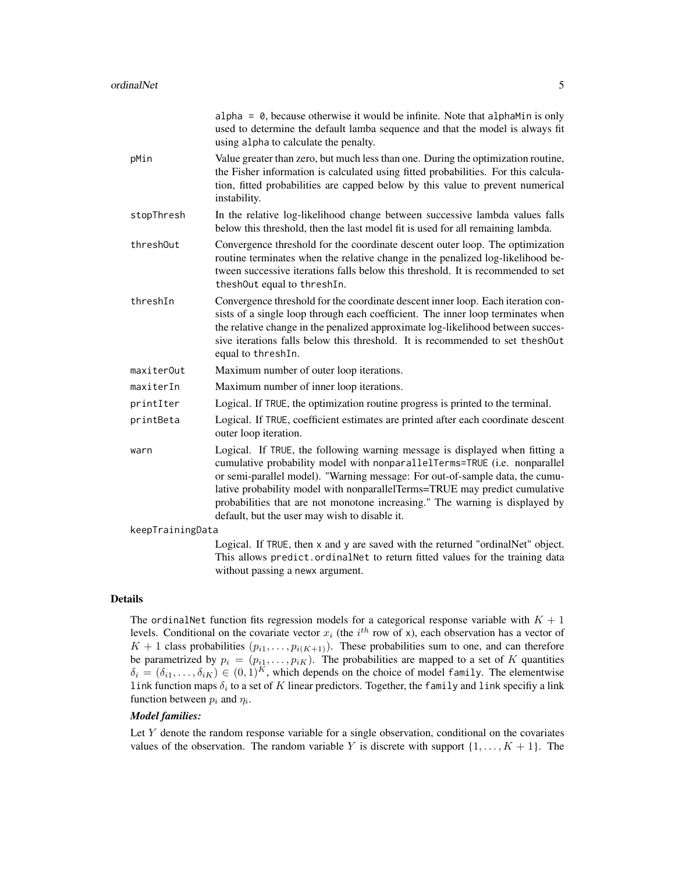|                  | $alpha = 0$ , because otherwise it would be infinite. Note that alphamin is only<br>used to determine the default lamba sequence and that the model is always fit<br>using alpha to calculate the penalty.                                                                                                                                                                                                                                              |
|------------------|---------------------------------------------------------------------------------------------------------------------------------------------------------------------------------------------------------------------------------------------------------------------------------------------------------------------------------------------------------------------------------------------------------------------------------------------------------|
| pMin             | Value greater than zero, but much less than one. During the optimization routine,<br>the Fisher information is calculated using fitted probabilities. For this calcula-<br>tion, fitted probabilities are capped below by this value to prevent numerical<br>instability.                                                                                                                                                                               |
| stopThresh       | In the relative log-likelihood change between successive lambda values falls<br>below this threshold, then the last model fit is used for all remaining lambda.                                                                                                                                                                                                                                                                                         |
| thresh0ut        | Convergence threshold for the coordinate descent outer loop. The optimization<br>routine terminates when the relative change in the penalized log-likelihood be-<br>tween successive iterations falls below this threshold. It is recommended to set<br>theshOut equal to threshIn.                                                                                                                                                                     |
| threshIn         | Convergence threshold for the coordinate descent inner loop. Each iteration con-<br>sists of a single loop through each coefficient. The inner loop terminates when<br>the relative change in the penalized approximate log-likelihood between succes-<br>sive iterations falls below this threshold. It is recommended to set the shout<br>equal to threshIn.                                                                                          |
| maxiterOut       | Maximum number of outer loop iterations.                                                                                                                                                                                                                                                                                                                                                                                                                |
| maxiterIn        | Maximum number of inner loop iterations.                                                                                                                                                                                                                                                                                                                                                                                                                |
| printIter        | Logical. If TRUE, the optimization routine progress is printed to the terminal.                                                                                                                                                                                                                                                                                                                                                                         |
| printBeta        | Logical. If TRUE, coefficient estimates are printed after each coordinate descent<br>outer loop iteration.                                                                                                                                                                                                                                                                                                                                              |
| warn             | Logical. If TRUE, the following warning message is displayed when fitting a<br>cumulative probability model with nonparallelTerms=TRUE (i.e. nonparallel<br>or semi-parallel model). "Warning message: For out-of-sample data, the cumu-<br>lative probability model with nonparallelTerms=TRUE may predict cumulative<br>probabilities that are not monotone increasing." The warning is displayed by<br>default, but the user may wish to disable it. |
| keepTrainingData |                                                                                                                                                                                                                                                                                                                                                                                                                                                         |
|                  | Logical. If TRUE, then x and y are saved with the returned "ordinalNet" object.<br>This allows predict.ordinalNet to return fitted values for the training data                                                                                                                                                                                                                                                                                         |

Details

The ordinalNet function fits regression models for a categorical response variable with  $K + 1$ levels. Conditional on the covariate vector  $x_i$  (the  $i^{th}$  row of x), each observation has a vector of  $K + 1$  class probabilities  $(p_{i1}, \ldots, p_{i(K+1)})$ . These probabilities sum to one, and can therefore be parametrized by  $p_i = (p_{i1}, \ldots, p_{iK})$ . The probabilities are mapped to a set of K quantities  $\delta_i = (\delta_{i1}, \dots, \delta_{iK}) \in (0, 1)^K$ , which depends on the choice of model family. The elementwise link function maps  $\delta_i$  to a set of K linear predictors. Together, the family and link specifiy a link function between  $p_i$  and  $\eta_i$ .

without passing a newx argument.

#### *Model families:*

Let Y denote the random response variable for a single observation, conditional on the covariates values of the observation. The random variable Y is discrete with support  $\{1, \ldots, K + 1\}$ . The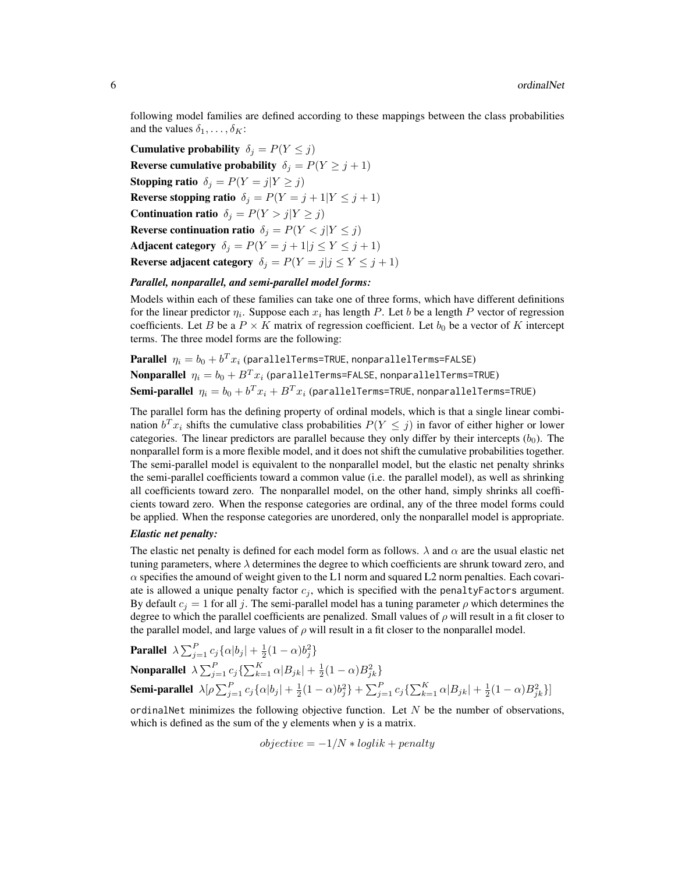following model families are defined according to these mappings between the class probabilities and the values  $\delta_1, \ldots, \delta_K$ :

Cumulative probability  $\delta_j = P(Y \leq j)$ Reverse cumulative probability  $\delta_i = P(Y \geq j + 1)$ Stopping ratio  $\delta_j = P(Y = j | Y \ge j)$ **Reverse stopping ratio**  $\delta_j = P(Y = j + 1 | Y \leq j + 1)$ Continuation ratio  $\delta_i = P(Y > j | Y \ge j)$ Reverse continuation ratio  $\delta_i = P(Y < j | Y \le j)$ Adjacent category  $\delta_j = P(Y = j + 1 | j \le Y \le j + 1)$ Reverse adjacent category  $\delta_i = P(Y = j | j \le Y \le j + 1)$ 

#### *Parallel, nonparallel, and semi-parallel model forms:*

Models within each of these families can take one of three forms, which have different definitions for the linear predictor  $\eta_i$ . Suppose each  $x_i$  has length P. Let b be a length P vector of regression coefficients. Let B be a  $P \times K$  matrix of regression coefficient. Let  $b_0$  be a vector of K intercept terms. The three model forms are the following:

 $\textbf{Parallel} \; \eta_i = b_0 + b^T x_i$  (parallelTerms=TRUE, nonparallelTerms=FALSE) **Nonparallel**  $\eta_i = b_0 + B^T x_i$  (parallelTerms=FALSE, nonparallelTerms=TRUE)  ${\bf Semi-parallel}$   $\eta_i=b_0+b^Tx_i+B^Tx_i$  (parallelTerms=TRUE, nonparallelTerms=TRUE)

The parallel form has the defining property of ordinal models, which is that a single linear combination  $b^T x_i$  shifts the cumulative class probabilities  $P(Y \leq j)$  in favor of either higher or lower categories. The linear predictors are parallel because they only differ by their intercepts  $(b_0)$ . The nonparallel form is a more flexible model, and it does not shift the cumulative probabilities together. The semi-parallel model is equivalent to the nonparallel model, but the elastic net penalty shrinks the semi-parallel coefficients toward a common value (i.e. the parallel model), as well as shrinking all coefficients toward zero. The nonparallel model, on the other hand, simply shrinks all coefficients toward zero. When the response categories are ordinal, any of the three model forms could be applied. When the response categories are unordered, only the nonparallel model is appropriate.

#### *Elastic net penalty:*

The elastic net penalty is defined for each model form as follows.  $\lambda$  and  $\alpha$  are the usual elastic net tuning parameters, where  $\lambda$  determines the degree to which coefficients are shrunk toward zero, and  $\alpha$  specifies the amound of weight given to the L1 norm and squared L2 norm penalties. Each covariate is allowed a unique penalty factor  $c_j$ , which is specified with the penaltyFactors argument. By default  $c_j = 1$  for all j. The semi-parallel model has a tuning parameter  $\rho$  which determines the degree to which the parallel coefficients are penalized. Small values of  $\rho$  will result in a fit closer to the parallel model, and large values of  $\rho$  will result in a fit closer to the nonparallel model.

**Parallel**  $\lambda \sum_{j=1}^{P} c_j \{\alpha | b_j | + \frac{1}{2}(1-\alpha)b_j^2\}$ **Nonparallel**  $\lambda \sum_{j=1}^{P} c_j \{\sum_{k=1}^{K} \alpha |B_{jk}| + \frac{1}{2}(1-\alpha)B_{jk}^2\}$ Semi-parallel  $\lambda[\rho \sum_{j=1}^P c_j \{\alpha | b_j | + \frac{1}{2}(1-\alpha)b_j^2\} + \sum_{j=1}^P c_j \{\sum_{k=1}^K \alpha |B_{jk} | + \frac{1}{2}(1-\alpha)B_{jk}^2\}]$ 

ordinalNet minimizes the following objective function. Let  $N$  be the number of observations, which is defined as the sum of the y elements when y is a matrix.

$$
objective = -1/N * loglik + penalty
$$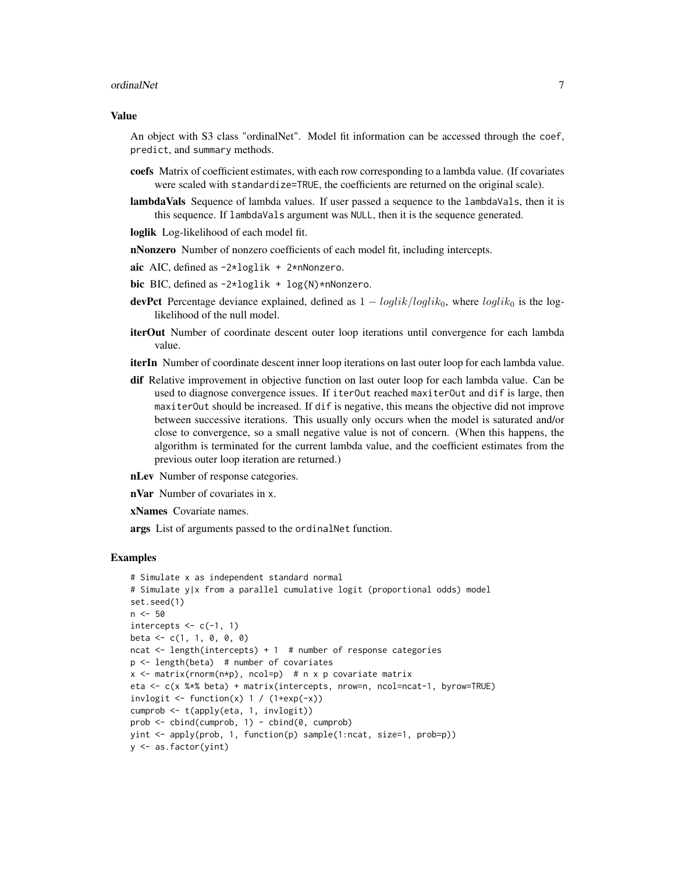#### ordinalNet 7

#### Value

An object with S3 class "ordinalNet". Model fit information can be accessed through the coef, predict, and summary methods.

- coefs Matrix of coefficient estimates, with each row corresponding to a lambda value. (If covariates were scaled with standardize=TRUE, the coefficients are returned on the original scale).
- lambdaVals Sequence of lambda values. If user passed a sequence to the lambdaVals, then it is this sequence. If lambdaVals argument was NULL, then it is the sequence generated.

loglik Log-likelihood of each model fit.

nNonzero Number of nonzero coefficients of each model fit, including intercepts.

aic AIC, defined as -2\*loglik + 2\*nNonzero.

- bic BIC, defined as  $-2 \times \text{loglik} + \log(N) \times \text{N}$ onzero.
- **devPct** Percentage deviance explained, defined as  $1 loglik/loglik<sub>0</sub>$ , where  $loglik<sub>0</sub>$  is the loglikelihood of the null model.
- iterOut Number of coordinate descent outer loop iterations until convergence for each lambda value.
- iterIn Number of coordinate descent inner loop iterations on last outer loop for each lambda value.
- dif Relative improvement in objective function on last outer loop for each lambda value. Can be used to diagnose convergence issues. If iterOut reached maxiterOut and dif is large, then maxiterOut should be increased. If dif is negative, this means the objective did not improve between successive iterations. This usually only occurs when the model is saturated and/or close to convergence, so a small negative value is not of concern. (When this happens, the algorithm is terminated for the current lambda value, and the coefficient estimates from the previous outer loop iteration are returned.)

nLev Number of response categories.

**nVar** Number of covariates in x.

xNames Covariate names.

args List of arguments passed to the ordinalNet function.

#### Examples

```
# Simulate x as independent standard normal
# Simulate y|x from a parallel cumulative logit (proportional odds) model
set.seed(1)
n < -50intercepts \leq c(-1, 1)beta \leq c(1, 1, 0, 0, 0)ncat <- length(intercepts) + 1 # number of response categories
p \le - length(beta) # number of covariates
x \le - matrix(rnorm(n*p), ncol=p) # n x p covariate matrix
eta <- c(x %*% beta) + matrix(intercepts, nrow=n, ncol=ncat-1, byrow=TRUE)
invlogit \le function(x) 1 / (1+exp(-x))
cumprob <- t(apply(eta, 1, invlogit))
prob <- cbind(cumprob, 1) - cbind(0, cumprob)
yint <- apply(prob, 1, function(p) sample(1:ncat, size=1, prob=p))
y <- as.factor(yint)
```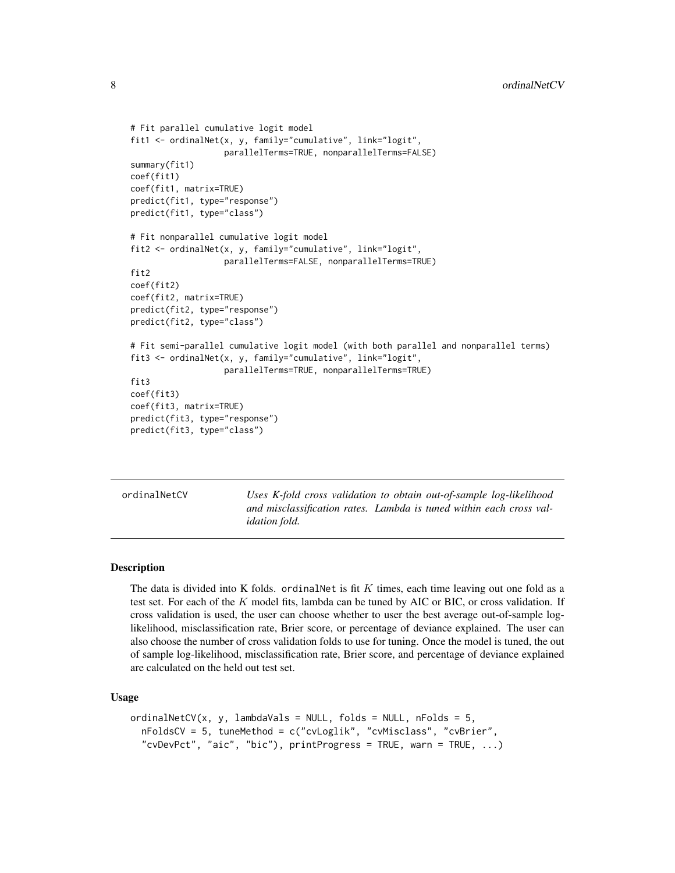```
# Fit parallel cumulative logit model
fit1 <- ordinalNet(x, y, family="cumulative", link="logit",
                   parallelTerms=TRUE, nonparallelTerms=FALSE)
summary(fit1)
coef(fit1)
coef(fit1, matrix=TRUE)
predict(fit1, type="response")
predict(fit1, type="class")
# Fit nonparallel cumulative logit model
fit2 <- ordinalNet(x, y, family="cumulative", link="logit",
                   parallelTerms=FALSE, nonparallelTerms=TRUE)
fit2
coef(fit2)
coef(fit2, matrix=TRUE)
predict(fit2, type="response")
predict(fit2, type="class")
# Fit semi-parallel cumulative logit model (with both parallel and nonparallel terms)
fit3 <- ordinalNet(x, y, family="cumulative", link="logit",
                   parallelTerms=TRUE, nonparallelTerms=TRUE)
fit3
coef(fit3)
coef(fit3, matrix=TRUE)
predict(fit3, type="response")
predict(fit3, type="class")
```
<span id="page-7-1"></span>ordinalNetCV *Uses K-fold cross validation to obtain out-of-sample log-likelihood and misclassification rates. Lambda is tuned within each cross validation fold.*

#### **Description**

The data is divided into K folds. ordinalNet is fit  $K$  times, each time leaving out one fold as a test set. For each of the  $K$  model fits, lambda can be tuned by AIC or BIC, or cross validation. If cross validation is used, the user can choose whether to user the best average out-of-sample loglikelihood, misclassification rate, Brier score, or percentage of deviance explained. The user can also choose the number of cross validation folds to use for tuning. Once the model is tuned, the out of sample log-likelihood, misclassification rate, Brier score, and percentage of deviance explained are calculated on the held out test set.

#### Usage

```
ordinalNetCV(x, y, lambdaVals = NULL, folds = NULL, nFolds = 5,
  nFoldsCV = 5, tuneMethod = c("cvLoglik", "cvMisclass", "cvBrier",
  "cvDevPct", "aic", "bic"), printProgress = TRUE, warn = TRUE, ...)
```
<span id="page-7-0"></span>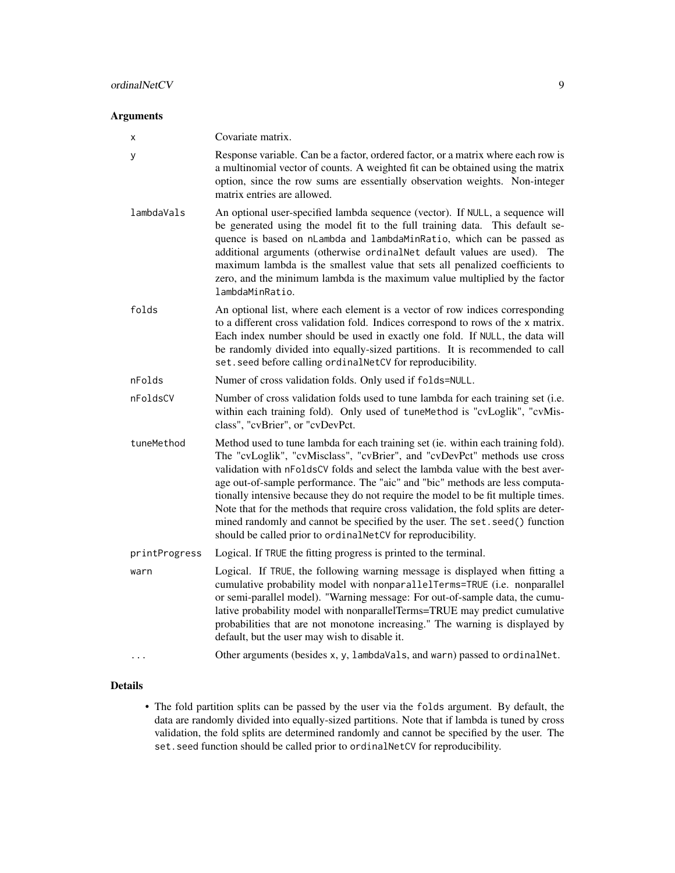#### Arguments

| X             | Covariate matrix.                                                                                                                                                                                                                                                                                                                                                                                                                                                                                                                                                                                                                                            |
|---------------|--------------------------------------------------------------------------------------------------------------------------------------------------------------------------------------------------------------------------------------------------------------------------------------------------------------------------------------------------------------------------------------------------------------------------------------------------------------------------------------------------------------------------------------------------------------------------------------------------------------------------------------------------------------|
| у             | Response variable. Can be a factor, ordered factor, or a matrix where each row is<br>a multinomial vector of counts. A weighted fit can be obtained using the matrix<br>option, since the row sums are essentially observation weights. Non-integer<br>matrix entries are allowed.                                                                                                                                                                                                                                                                                                                                                                           |
| lambdaVals    | An optional user-specified lambda sequence (vector). If NULL, a sequence will<br>be generated using the model fit to the full training data. This default se-<br>quence is based on nLambda and lambdaMinRatio, which can be passed as<br>additional arguments (otherwise ordinalNet default values are used). The<br>maximum lambda is the smallest value that sets all penalized coefficients to<br>zero, and the minimum lambda is the maximum value multiplied by the factor<br>lambdaMinRatio.                                                                                                                                                          |
| folds         | An optional list, where each element is a vector of row indices corresponding<br>to a different cross validation fold. Indices correspond to rows of the x matrix.<br>Each index number should be used in exactly one fold. If NULL, the data will<br>be randomly divided into equally-sized partitions. It is recommended to call<br>set. seed before calling ordinalNetCV for reproducibility.                                                                                                                                                                                                                                                             |
| nFolds        | Numer of cross validation folds. Only used if folds=NULL.                                                                                                                                                                                                                                                                                                                                                                                                                                                                                                                                                                                                    |
| nFoldsCV      | Number of cross validation folds used to tune lambda for each training set (i.e.<br>within each training fold). Only used of tuneMethod is "cvLoglik", "cvMis-<br>class", "cvBrier", or "cvDevPct.                                                                                                                                                                                                                                                                                                                                                                                                                                                           |
| tuneMethod    | Method used to tune lambda for each training set (ie. within each training fold).<br>The "cvLoglik", "cvMisclass", "cvBrier", and "cvDevPct" methods use cross<br>validation with nFoldsCV folds and select the lambda value with the best aver-<br>age out-of-sample performance. The "aic" and "bic" methods are less computa-<br>tionally intensive because they do not require the model to be fit multiple times.<br>Note that for the methods that require cross validation, the fold splits are deter-<br>mined randomly and cannot be specified by the user. The set. seed() function<br>should be called prior to ordinalNetCV for reproducibility. |
| printProgress | Logical. If TRUE the fitting progress is printed to the terminal.                                                                                                                                                                                                                                                                                                                                                                                                                                                                                                                                                                                            |
| warn          | Logical. If TRUE, the following warning message is displayed when fitting a<br>cumulative probability model with nonparallelTerms=TRUE (i.e. nonparallel<br>or semi-parallel model). "Warning message: For out-of-sample data, the cumu-<br>lative probability model with nonparallelTerms=TRUE may predict cumulative<br>probabilities that are not monotone increasing." The warning is displayed by<br>default, but the user may wish to disable it.                                                                                                                                                                                                      |
|               | Other arguments (besides x, y, lambdaVals, and warn) passed to ordinalNet.                                                                                                                                                                                                                                                                                                                                                                                                                                                                                                                                                                                   |

### Details

• The fold partition splits can be passed by the user via the folds argument. By default, the data are randomly divided into equally-sized partitions. Note that if lambda is tuned by cross validation, the fold splits are determined randomly and cannot be specified by the user. The set. seed function should be called prior to ordinalNetCV for reproducibility.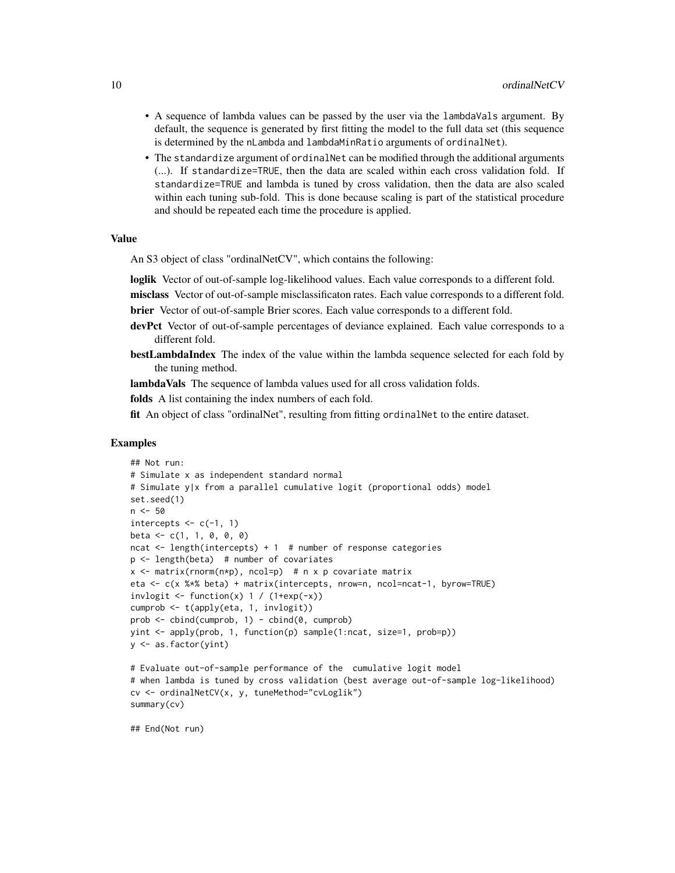- A sequence of lambda values can be passed by the user via the lambdaVals argument. By default, the sequence is generated by first fitting the model to the full data set (this sequence is determined by the nLambda and lambdaMinRatio arguments of ordinalNet).
- The standardize argument of ordinalNet can be modified through the additional arguments (...). If standardize=TRUE, then the data are scaled within each cross validation fold. If standardize=TRUE and lambda is tuned by cross validation, then the data are also scaled within each tuning sub-fold. This is done because scaling is part of the statistical procedure and should be repeated each time the procedure is applied.

#### Value

An S3 object of class "ordinalNetCV", which contains the following:

loglik Vector of out-of-sample log-likelihood values. Each value corresponds to a different fold.

misclass Vector of out-of-sample misclassificaton rates. Each value corresponds to a different fold.

**brier** Vector of out-of-sample Brier scores. Each value corresponds to a different fold.

- devPct Vector of out-of-sample percentages of deviance explained. Each value corresponds to a different fold.
- **bestLambdaIndex** The index of the value within the lambda sequence selected for each fold by the tuning method.

lambdaVals The sequence of lambda values used for all cross validation folds.

folds A list containing the index numbers of each fold.

fit An object of class "ordinalNet", resulting from fitting ordinalNet to the entire dataset.

#### Examples

```
## Not run:
# Simulate x as independent standard normal
# Simulate y|x from a parallel cumulative logit (proportional odds) model
set.seed(1)
n <- 50
intercepts \leq c(-1, 1)beta \leq -c(1, 1, 0, 0, 0)ncat \leq length(intercepts) + 1 # number of response categories
p \le - length(beta) # number of covariates
x \le matrix(rnorm(n*p), ncol=p) # n x p covariate matrix
eta <- c(x %*% beta) + matrix(intercepts, nrow=n, ncol=ncat-1, byrow=TRUE)
invlogit \le function(x) 1 / (1+exp(-x))
cumprob <- t(apply(eta, 1, invlogit))
prob \leftarrow \text{cbind}(\text{cumprob}, 1) - \text{cbind}(\emptyset, \text{cumprob})yint <- apply(prob, 1, function(p) sample(1:ncat, size=1, prob=p))
y <- as.factor(yint)
# Evaluate out-of-sample performance of the cumulative logit model
# when lambda is tuned by cross validation (best average out-of-sample log-likelihood)
cv <- ordinalNetCV(x, y, tuneMethod="cvLoglik")
summary(cv)
```
## End(Not run)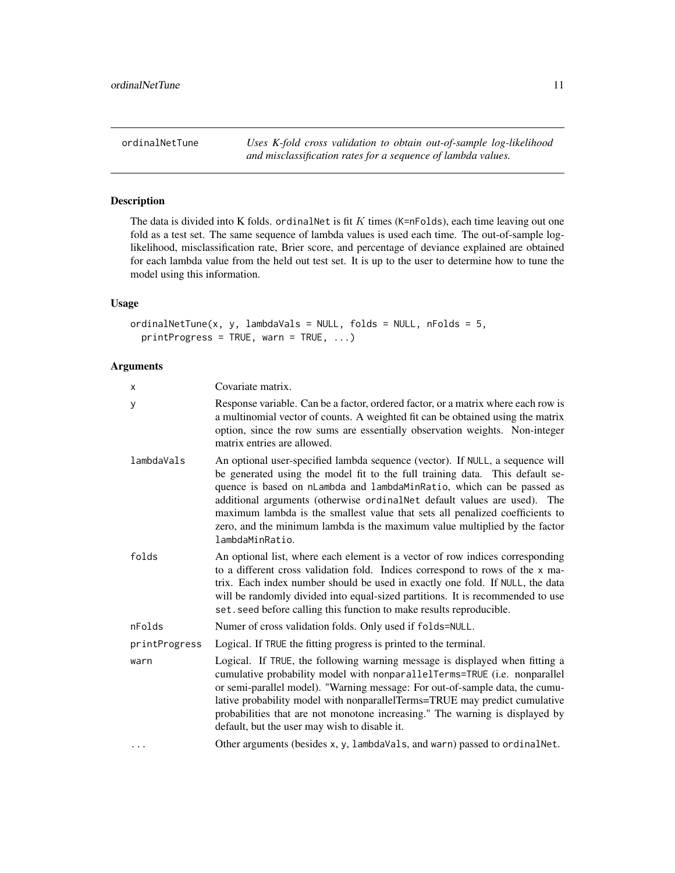<span id="page-10-1"></span><span id="page-10-0"></span>ordinalNetTune *Uses K-fold cross validation to obtain out-of-sample log-likelihood and misclassification rates for a sequence of lambda values.*

#### Description

The data is divided into K folds. ordinalNet is fit  $K$  times (K=nFolds), each time leaving out one fold as a test set. The same sequence of lambda values is used each time. The out-of-sample loglikelihood, misclassification rate, Brier score, and percentage of deviance explained are obtained for each lambda value from the held out test set. It is up to the user to determine how to tune the model using this information.

#### Usage

```
ordinalNetTune(x, y, lambdaVals = NULL, folds = NULL, nFolds = 5,
 printProgress = TRUE, warn = TRUE, ...)
```
#### Arguments

| x             | Covariate matrix.                                                                                                                                                                                                                                                                                                                                                                                                                                                                                   |
|---------------|-----------------------------------------------------------------------------------------------------------------------------------------------------------------------------------------------------------------------------------------------------------------------------------------------------------------------------------------------------------------------------------------------------------------------------------------------------------------------------------------------------|
| у             | Response variable. Can be a factor, ordered factor, or a matrix where each row is<br>a multinomial vector of counts. A weighted fit can be obtained using the matrix<br>option, since the row sums are essentially observation weights. Non-integer<br>matrix entries are allowed.                                                                                                                                                                                                                  |
| lambdaVals    | An optional user-specified lambda sequence (vector). If NULL, a sequence will<br>be generated using the model fit to the full training data. This default se-<br>quence is based on nLambda and lambdaMinRatio, which can be passed as<br>additional arguments (otherwise ordinalNet default values are used). The<br>maximum lambda is the smallest value that sets all penalized coefficients to<br>zero, and the minimum lambda is the maximum value multiplied by the factor<br>lambdaMinRatio. |
| folds         | An optional list, where each element is a vector of row indices corresponding<br>to a different cross validation fold. Indices correspond to rows of the x ma-<br>trix. Each index number should be used in exactly one fold. If NULL, the data<br>will be randomly divided into equal-sized partitions. It is recommended to use<br>set. seed before calling this function to make results reproducible.                                                                                           |
| nFolds        | Numer of cross validation folds. Only used if folds=NULL.                                                                                                                                                                                                                                                                                                                                                                                                                                           |
| printProgress | Logical. If TRUE the fitting progress is printed to the terminal.                                                                                                                                                                                                                                                                                                                                                                                                                                   |
| warn          | Logical. If TRUE, the following warning message is displayed when fitting a<br>cumulative probability model with nonparallelTerms=TRUE (i.e. nonparallel<br>or semi-parallel model). "Warning message: For out-of-sample data, the cumu-<br>lative probability model with nonparallelTerms=TRUE may predict cumulative<br>probabilities that are not monotone increasing." The warning is displayed by<br>default, but the user may wish to disable it.                                             |
| .             | Other arguments (besides x, y, lambdaVals, and warn) passed to ordinalNet.                                                                                                                                                                                                                                                                                                                                                                                                                          |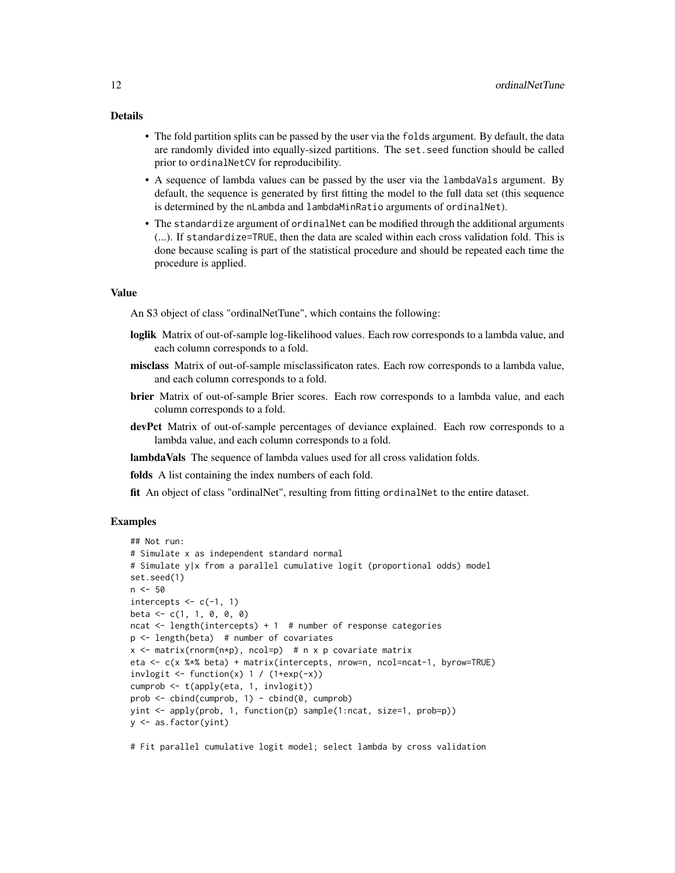#### Details

- The fold partition splits can be passed by the user via the folds argument. By default, the data are randomly divided into equally-sized partitions. The set.seed function should be called prior to ordinalNetCV for reproducibility.
- A sequence of lambda values can be passed by the user via the lambdaVals argument. By default, the sequence is generated by first fitting the model to the full data set (this sequence is determined by the nLambda and lambdaMinRatio arguments of ordinalNet).
- The standardize argument of ordinalNet can be modified through the additional arguments (...). If standardize=TRUE, then the data are scaled within each cross validation fold. This is done because scaling is part of the statistical procedure and should be repeated each time the procedure is applied.

#### Value

An S3 object of class "ordinalNetTune", which contains the following:

- loglik Matrix of out-of-sample log-likelihood values. Each row corresponds to a lambda value, and each column corresponds to a fold.
- misclass Matrix of out-of-sample misclassificaton rates. Each row corresponds to a lambda value, and each column corresponds to a fold.
- brier Matrix of out-of-sample Brier scores. Each row corresponds to a lambda value, and each column corresponds to a fold.
- devPct Matrix of out-of-sample percentages of deviance explained. Each row corresponds to a lambda value, and each column corresponds to a fold.
- lambdaVals The sequence of lambda values used for all cross validation folds.
- folds A list containing the index numbers of each fold.
- fit An object of class "ordinalNet", resulting from fitting ordinalNet to the entire dataset.

#### Examples

```
## Not run:
# Simulate x as independent standard normal
# Simulate y|x from a parallel cumulative logit (proportional odds) model
set.seed(1)
n < -50intercepts \leq c(-1, 1)beta \leq -c(1, 1, 0, 0, 0)ncat \leq length(intercepts) + 1 # number of response categories
p \le - length(beta) # number of covariates
x \le matrix(rnorm(n*p), ncol=p) # n x p covariate matrix
eta <- c(x %*% beta) + matrix(intercepts, nrow=n, ncol=ncat-1, byrow=TRUE)
invlogit \le function(x) 1 / (1+exp(-x))
cumprob <- t(apply(eta, 1, invlogit))
prob <- cbind(cumprob, 1) - cbind(0, cumprob)
yint <- apply(prob, 1, function(p) sample(1:ncat, size=1, prob=p))
y <- as.factor(yint)
```
# Fit parallel cumulative logit model; select lambda by cross validation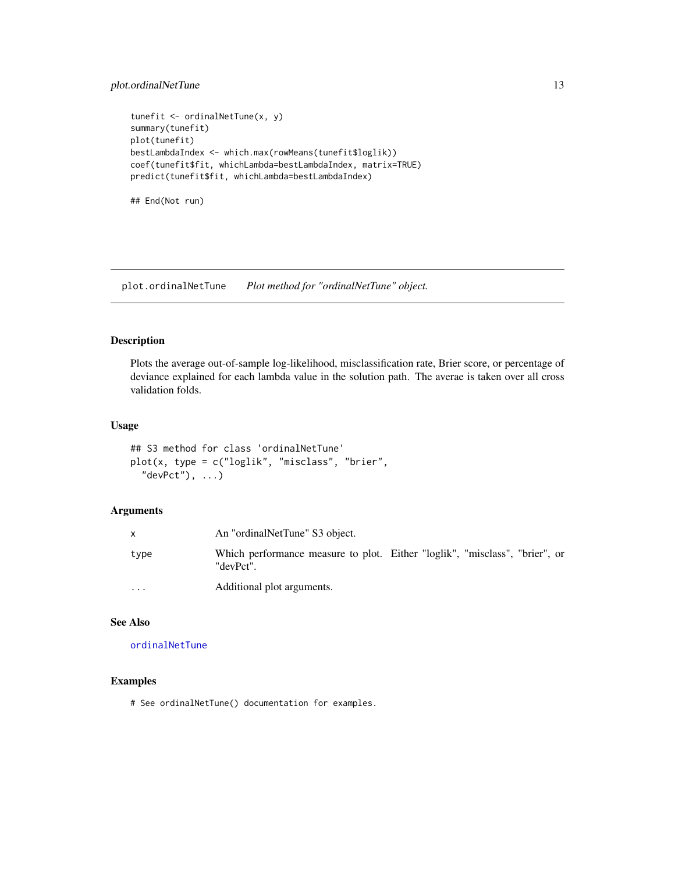#### <span id="page-12-0"></span>plot.ordinalNetTune 13

```
tunefit <- ordinalNetTune(x, y)
summary(tunefit)
plot(tunefit)
bestLambdaIndex <- which.max(rowMeans(tunefit$loglik))
coef(tunefit$fit, whichLambda=bestLambdaIndex, matrix=TRUE)
predict(tunefit$fit, whichLambda=bestLambdaIndex)
```
## End(Not run)

plot.ordinalNetTune *Plot method for "ordinalNetTune" object.*

#### Description

Plots the average out-of-sample log-likelihood, misclassification rate, Brier score, or percentage of deviance explained for each lambda value in the solution path. The averae is taken over all cross validation folds.

#### Usage

```
## S3 method for class 'ordinalNetTune'
plot(x, type = c("loglik", "misclass", "brier",
  "devPct"), ...)
```
#### Arguments

|          | An "ordinalNetTune" S3 object.                                                           |
|----------|------------------------------------------------------------------------------------------|
| type     | Which performance measure to plot. Either "loglik", "misclass", "brier", or<br>"devPct". |
| $\cdots$ | Additional plot arguments.                                                               |

#### See Also

[ordinalNetTune](#page-10-1)

#### Examples

# See ordinalNetTune() documentation for examples.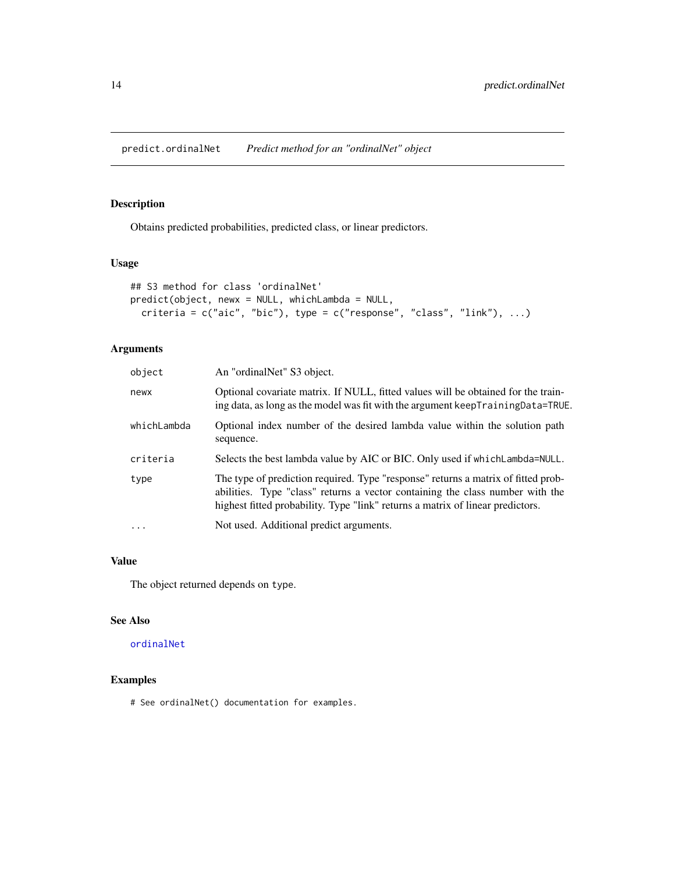#### <span id="page-13-0"></span>Description

Obtains predicted probabilities, predicted class, or linear predictors.

#### Usage

```
## S3 method for class 'ordinalNet'
predict(object, newx = NULL, whichLambda = NULL,
 criteria = c("aic", "bic"), type = c("response", "class", "link"), ...)
```
#### Arguments

| object      | An "ordinalNet" S3 object.                                                                                                                                                                                                                           |
|-------------|------------------------------------------------------------------------------------------------------------------------------------------------------------------------------------------------------------------------------------------------------|
| newx        | Optional covariate matrix. If NULL, fitted values will be obtained for the train-<br>ing data, as long as the model was fit with the argument keepTrainingData=TRUE.                                                                                 |
| whichLambda | Optional index number of the desired lambda value within the solution path<br>sequence.                                                                                                                                                              |
| criteria    | Selects the best lambda value by AIC or BIC. Only used if which Lambda=NULL.                                                                                                                                                                         |
| type        | The type of prediction required. Type "response" returns a matrix of fitted prob-<br>abilities. Type "class" returns a vector containing the class number with the<br>highest fitted probability. Type "link" returns a matrix of linear predictors. |
| $\ddots$    | Not used. Additional predict arguments.                                                                                                                                                                                                              |

#### Value

The object returned depends on type.

#### See Also

#### [ordinalNet](#page-2-1)

### Examples

# See ordinalNet() documentation for examples.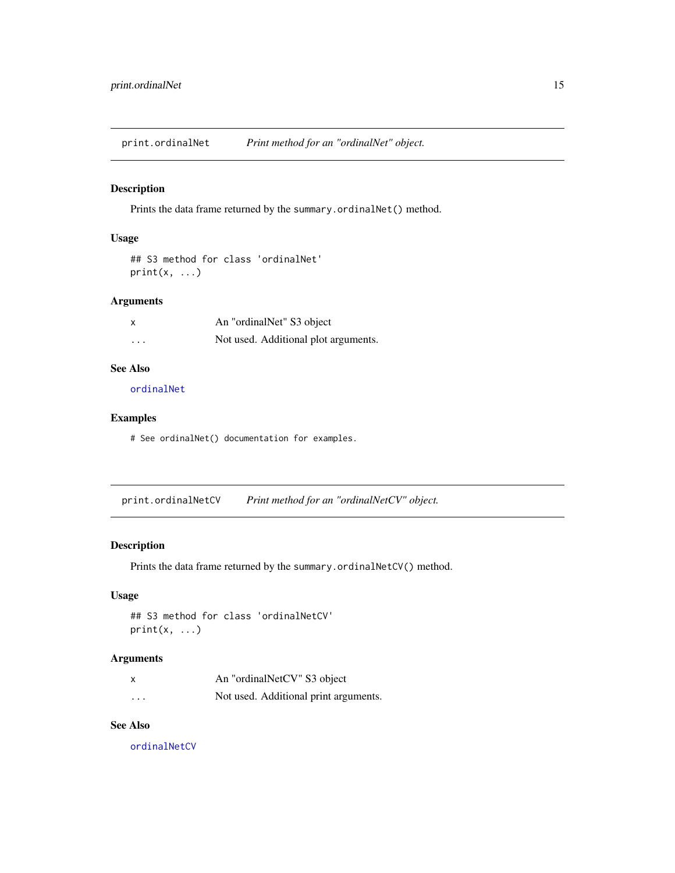<span id="page-14-0"></span>print.ordinalNet *Print method for an "ordinalNet" object.*

#### Description

Prints the data frame returned by the summary.ordinalNet() method.

#### Usage

```
## S3 method for class 'ordinalNet'
print(x, \ldots)
```
#### Arguments

| X        | An "ordinalNet" S3 object            |
|----------|--------------------------------------|
| $\cdots$ | Not used. Additional plot arguments. |

#### See Also

[ordinalNet](#page-2-1)

#### Examples

# See ordinalNet() documentation for examples.

print.ordinalNetCV *Print method for an "ordinalNetCV" object.*

#### Description

Prints the data frame returned by the summary.ordinalNetCV() method.

#### Usage

```
## S3 method for class 'ordinalNetCV'
print(x, \ldots)
```
#### Arguments

|                         | An "ordinalNetCV" S3 object           |
|-------------------------|---------------------------------------|
| $\cdot$ $\cdot$ $\cdot$ | Not used. Additional print arguments. |

#### See Also

[ordinalNetCV](#page-7-1)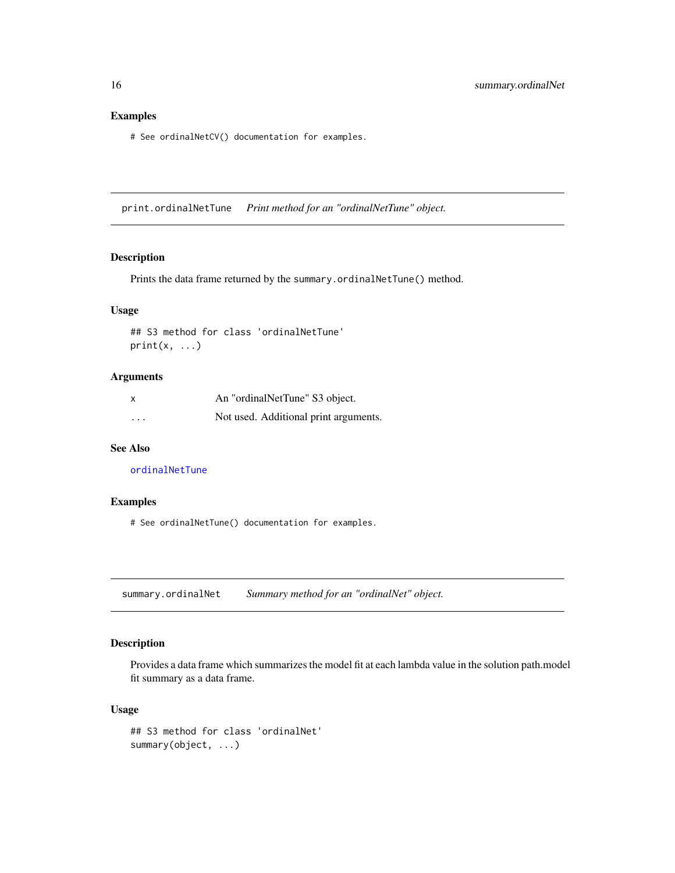#### <span id="page-15-0"></span>Examples

# See ordinalNetCV() documentation for examples.

print.ordinalNetTune *Print method for an "ordinalNetTune" object.*

#### Description

Prints the data frame returned by the summary.ordinalNetTune() method.

#### Usage

```
## S3 method for class 'ordinalNetTune'
print(x, \ldots)
```
#### Arguments

| x                       | An "ordinalNetTune" S3 object.        |
|-------------------------|---------------------------------------|
| $\cdot$ $\cdot$ $\cdot$ | Not used. Additional print arguments. |

#### See Also

[ordinalNetTune](#page-10-1)

#### Examples

# See ordinalNetTune() documentation for examples.

summary.ordinalNet *Summary method for an "ordinalNet" object.*

#### Description

Provides a data frame which summarizes the model fit at each lambda value in the solution path.model fit summary as a data frame.

#### Usage

```
## S3 method for class 'ordinalNet'
summary(object, ...)
```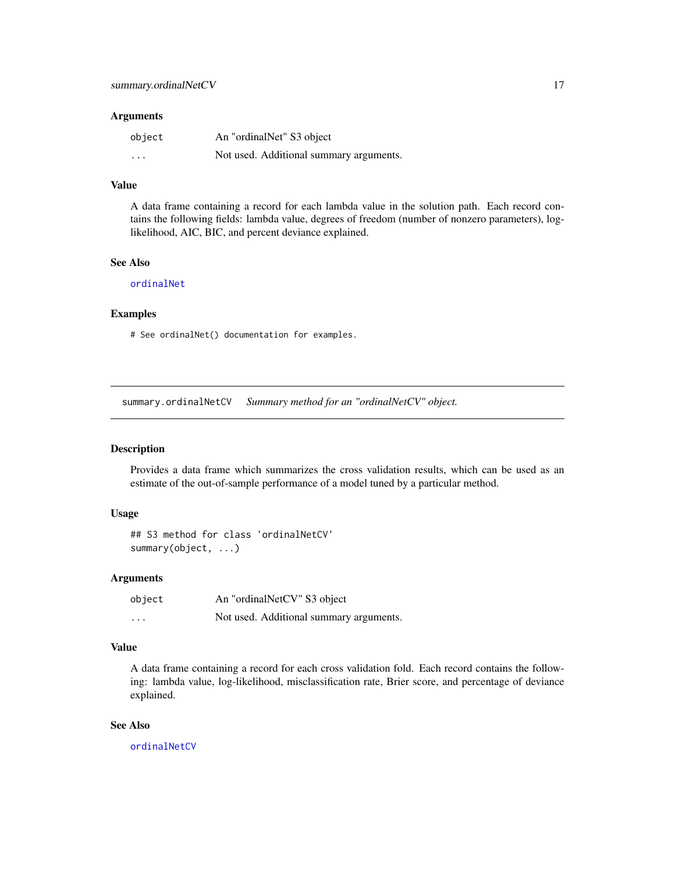#### <span id="page-16-0"></span>**Arguments**

| object                  | An "ordinalNet" S3 object               |
|-------------------------|-----------------------------------------|
| $\cdot$ $\cdot$ $\cdot$ | Not used. Additional summary arguments. |

#### Value

A data frame containing a record for each lambda value in the solution path. Each record contains the following fields: lambda value, degrees of freedom (number of nonzero parameters), loglikelihood, AIC, BIC, and percent deviance explained.

#### See Also

[ordinalNet](#page-2-1)

#### Examples

# See ordinalNet() documentation for examples.

summary.ordinalNetCV *Summary method for an "ordinalNetCV" object.*

#### Description

Provides a data frame which summarizes the cross validation results, which can be used as an estimate of the out-of-sample performance of a model tuned by a particular method.

#### Usage

```
## S3 method for class 'ordinalNetCV'
summary(object, ...)
```
#### Arguments

| object                  | An "ordinalNetCV" S3 object             |
|-------------------------|-----------------------------------------|
| $\cdot$ $\cdot$ $\cdot$ | Not used. Additional summary arguments. |

#### Value

A data frame containing a record for each cross validation fold. Each record contains the following: lambda value, log-likelihood, misclassification rate, Brier score, and percentage of deviance explained.

#### See Also

[ordinalNetCV](#page-7-1)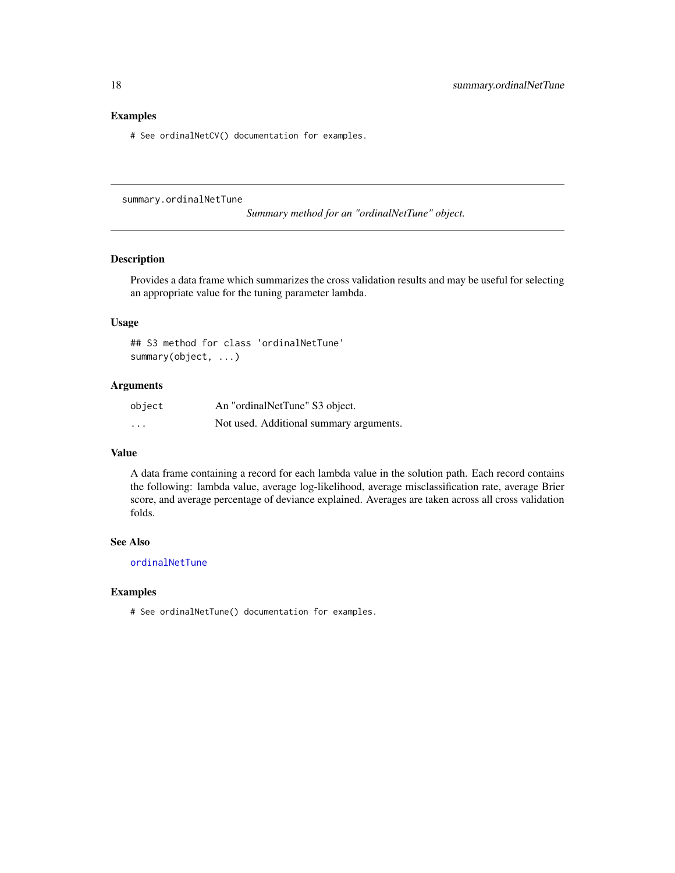#### <span id="page-17-0"></span>Examples

# See ordinalNetCV() documentation for examples.

summary.ordinalNetTune

*Summary method for an "ordinalNetTune" object.*

#### Description

Provides a data frame which summarizes the cross validation results and may be useful for selecting an appropriate value for the tuning parameter lambda.

#### Usage

## S3 method for class 'ordinalNetTune' summary(object, ...)

#### Arguments

| object   | An "ordinalNetTune" S3 object.          |
|----------|-----------------------------------------|
| $\cdots$ | Not used. Additional summary arguments. |

#### Value

A data frame containing a record for each lambda value in the solution path. Each record contains the following: lambda value, average log-likelihood, average misclassification rate, average Brier score, and average percentage of deviance explained. Averages are taken across all cross validation folds.

#### See Also

[ordinalNetTune](#page-10-1)

#### Examples

# See ordinalNetTune() documentation for examples.